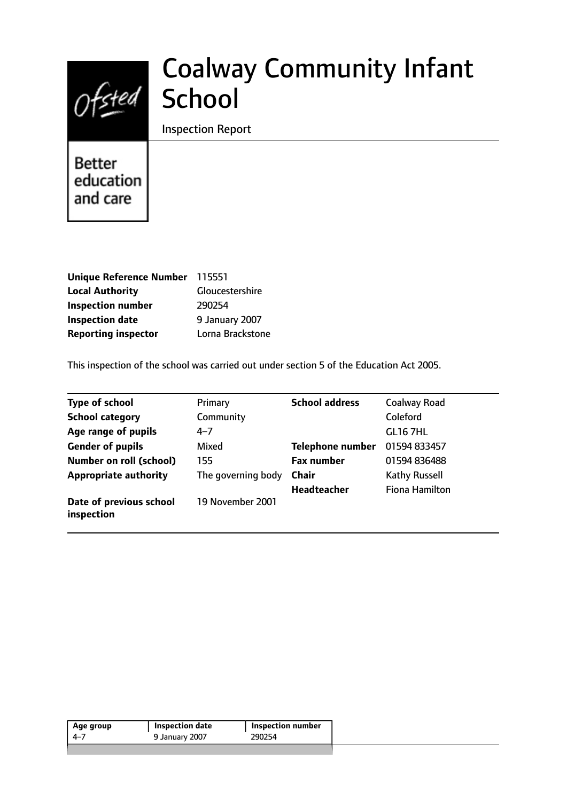

# Coalway Community Infant **School**

Inspection Report

**Better** education and care

| Unique Reference Number 115551 |                  |
|--------------------------------|------------------|
| <b>Local Authority</b>         | Gloucestershire  |
| <b>Inspection number</b>       | 290254           |
| <b>Inspection date</b>         | 9 January 2007   |
| <b>Reporting inspector</b>     | Lorna Brackstone |

This inspection of the school was carried out under section 5 of the Education Act 2005.

| <b>Type of school</b>                 | Primary            | <b>School address</b>   | Coalway Road          |
|---------------------------------------|--------------------|-------------------------|-----------------------|
| <b>School category</b>                | Community          |                         | Coleford              |
| Age range of pupils                   | $4 - 7$            |                         | <b>GL16 7HL</b>       |
| <b>Gender of pupils</b>               | Mixed              | <b>Telephone number</b> | 01594 833457          |
| <b>Number on roll (school)</b>        | 155                | <b>Fax number</b>       | 01594 836488          |
| <b>Appropriate authority</b>          | The governing body | <b>Chair</b>            | Kathy Russell         |
|                                       |                    | <b>Headteacher</b>      | <b>Fiona Hamilton</b> |
| Date of previous school<br>inspection | 19 November 2001   |                         |                       |

| 290254<br>9 January 2007<br>4–7 | Age group | Inspection date | Inspection number |
|---------------------------------|-----------|-----------------|-------------------|
|                                 |           |                 |                   |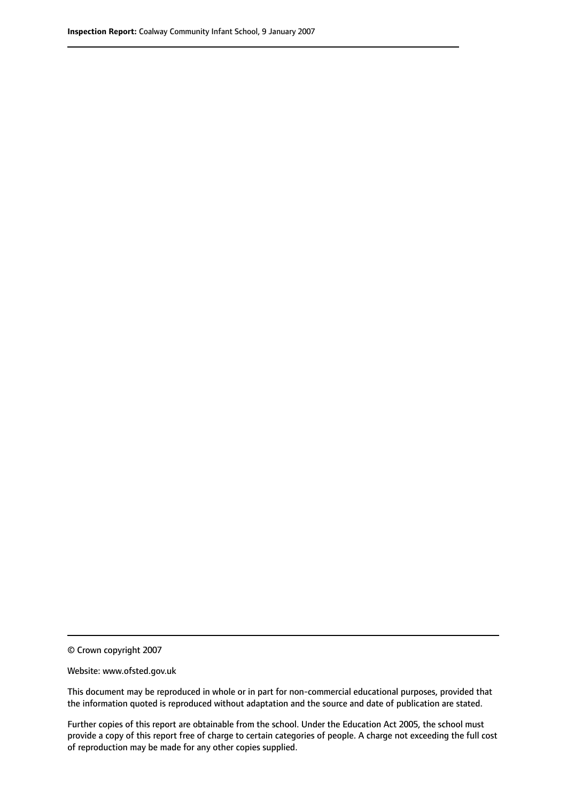© Crown copyright 2007

Website: www.ofsted.gov.uk

This document may be reproduced in whole or in part for non-commercial educational purposes, provided that the information quoted is reproduced without adaptation and the source and date of publication are stated.

Further copies of this report are obtainable from the school. Under the Education Act 2005, the school must provide a copy of this report free of charge to certain categories of people. A charge not exceeding the full cost of reproduction may be made for any other copies supplied.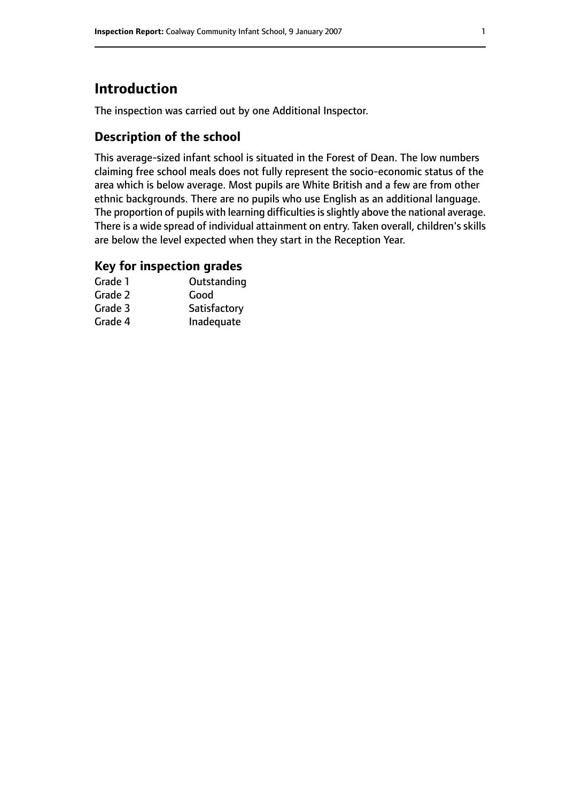# **Introduction**

The inspection was carried out by one Additional Inspector.

# **Description of the school**

This average-sized infant school is situated in the Forest of Dean. The low numbers claiming free school meals does not fully represent the socio-economic status of the area which is below average. Most pupils are White British and a few are from other ethnic backgrounds. There are no pupils who use English as an additional language. The proportion of pupils with learning difficulties is slightly above the national average. There is a wide spread of individual attainment on entry. Taken overall, children's skills are below the level expected when they start in the Reception Year.

### **Key for inspection grades**

| Grade 1 | Outstanding  |
|---------|--------------|
| Grade 2 | Good         |
| Grade 3 | Satisfactory |
| Grade 4 | Inadequate   |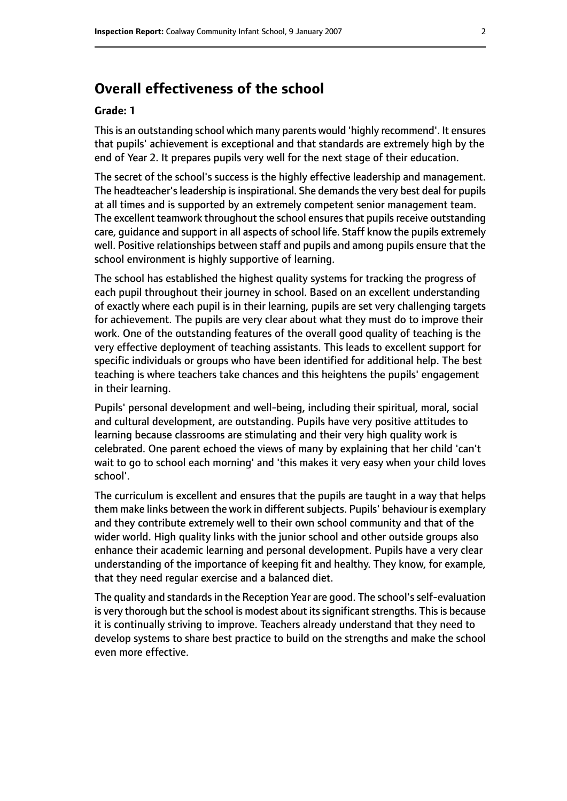# **Overall effectiveness of the school**

#### **Grade: 1**

Thisis an outstanding school which many parents would 'highly recommend'. It ensures that pupils' achievement is exceptional and that standards are extremely high by the end of Year 2. It prepares pupils very well for the next stage of their education.

The secret of the school's success is the highly effective leadership and management. The headteacher's leadership is inspirational. She demands the very best deal for pupils at all times and is supported by an extremely competent senior management team. The excellent teamwork throughout the school ensures that pupils receive outstanding care, guidance and support in all aspects of school life. Staff know the pupils extremely well. Positive relationships between staff and pupils and among pupils ensure that the school environment is highly supportive of learning.

The school has established the highest quality systems for tracking the progress of each pupil throughout their journey in school. Based on an excellent understanding of exactly where each pupil is in their learning, pupils are set very challenging targets for achievement. The pupils are very clear about what they must do to improve their work. One of the outstanding features of the overall good quality of teaching is the very effective deployment of teaching assistants. This leads to excellent support for specific individuals or groups who have been identified for additional help. The best teaching is where teachers take chances and this heightens the pupils' engagement in their learning.

Pupils' personal development and well-being, including their spiritual, moral, social and cultural development, are outstanding. Pupils have very positive attitudes to learning because classrooms are stimulating and their very high quality work is celebrated. One parent echoed the views of many by explaining that her child 'can't wait to go to school each morning' and 'this makes it very easy when your child loves school'.

The curriculum is excellent and ensures that the pupils are taught in a way that helps them make links between the work in different subjects. Pupils' behaviour is exemplary and they contribute extremely well to their own school community and that of the wider world. High quality links with the junior school and other outside groups also enhance their academic learning and personal development. Pupils have a very clear understanding of the importance of keeping fit and healthy. They know, for example, that they need regular exercise and a balanced diet.

The quality and standards in the Reception Year are good. The school's self-evaluation is very thorough but the school is modest about its significant strengths. This is because it is continually striving to improve. Teachers already understand that they need to develop systems to share best practice to build on the strengths and make the school even more effective.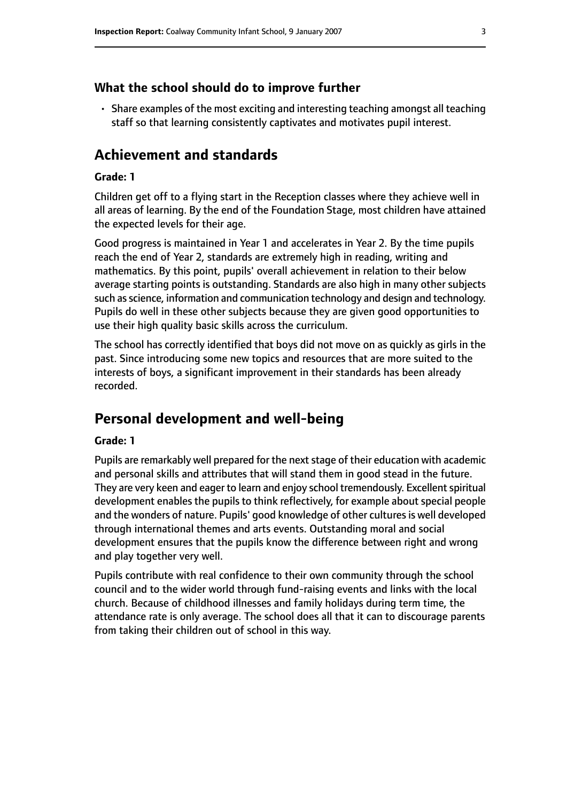#### **What the school should do to improve further**

• Share examples of the most exciting and interesting teaching amongst all teaching staff so that learning consistently captivates and motivates pupil interest.

## **Achievement and standards**

#### **Grade: 1**

Children get off to a flying start in the Reception classes where they achieve well in all areas of learning. By the end of the Foundation Stage, most children have attained the expected levels for their age.

Good progress is maintained in Year 1 and accelerates in Year 2. By the time pupils reach the end of Year 2, standards are extremely high in reading, writing and mathematics. By this point, pupils' overall achievement in relation to their below average starting points is outstanding. Standards are also high in many other subjects such as science, information and communication technology and design and technology. Pupils do well in these other subjects because they are given good opportunities to use their high quality basic skills across the curriculum.

The school has correctly identified that boys did not move on as quickly as girls in the past. Since introducing some new topics and resources that are more suited to the interests of boys, a significant improvement in their standards has been already recorded.

## **Personal development and well-being**

#### **Grade: 1**

Pupils are remarkably well prepared for the next stage of their education with academic and personal skills and attributes that will stand them in good stead in the future. They are very keen and eager to learn and enjoy school tremendously. Excellent spiritual development enables the pupils to think reflectively, for example about special people and the wonders of nature. Pupils' good knowledge of other cultures is well developed through international themes and arts events. Outstanding moral and social development ensures that the pupils know the difference between right and wrong and play together very well.

Pupils contribute with real confidence to their own community through the school council and to the wider world through fund-raising events and links with the local church. Because of childhood illnesses and family holidays during term time, the attendance rate is only average. The school does all that it can to discourage parents from taking their children out of school in this way.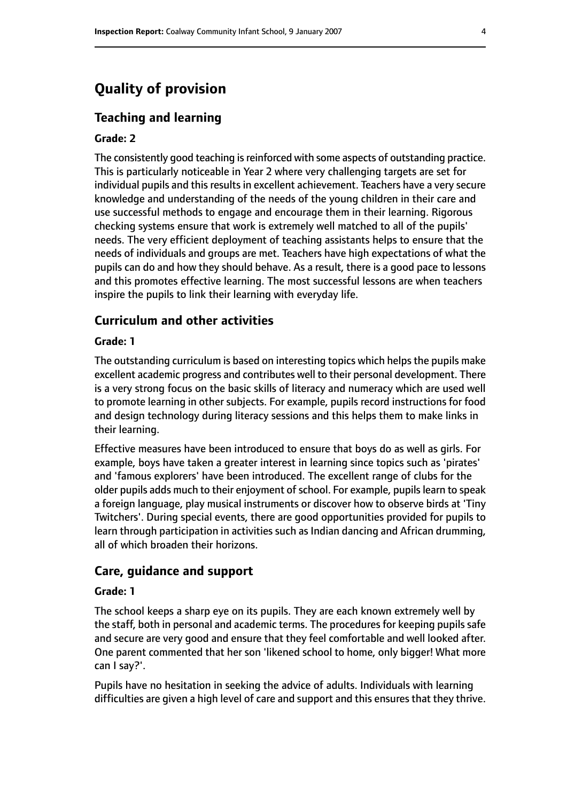# **Quality of provision**

#### **Teaching and learning**

#### **Grade: 2**

The consistently good teaching is reinforced with some aspects of outstanding practice. This is particularly noticeable in Year 2 where very challenging targets are set for individual pupils and this results in excellent achievement. Teachers have a very secure knowledge and understanding of the needs of the young children in their care and use successful methods to engage and encourage them in their learning. Rigorous checking systems ensure that work is extremely well matched to all of the pupils' needs. The very efficient deployment of teaching assistants helps to ensure that the needs of individuals and groups are met. Teachers have high expectations of what the pupils can do and how they should behave. As a result, there is a good pace to lessons and this promotes effective learning. The most successful lessons are when teachers inspire the pupils to link their learning with everyday life.

#### **Curriculum and other activities**

#### **Grade: 1**

The outstanding curriculum is based on interesting topics which helps the pupils make excellent academic progress and contributes well to their personal development. There is a very strong focus on the basic skills of literacy and numeracy which are used well to promote learning in other subjects. For example, pupils record instructions for food and design technology during literacy sessions and this helps them to make links in their learning.

Effective measures have been introduced to ensure that boys do as well as girls. For example, boys have taken a greater interest in learning since topics such as 'pirates' and 'famous explorers' have been introduced. The excellent range of clubs for the older pupils adds much to their enjoyment of school. For example, pupils learn to speak a foreign language, play musical instruments or discover how to observe birds at 'Tiny Twitchers'. During special events, there are good opportunities provided for pupils to learn through participation in activities such as Indian dancing and African drumming, all of which broaden their horizons.

#### **Care, guidance and support**

#### **Grade: 1**

The school keeps a sharp eye on its pupils. They are each known extremely well by the staff, both in personal and academic terms. The procedures for keeping pupils safe and secure are very good and ensure that they feel comfortable and well looked after. One parent commented that her son 'likened school to home, only bigger! What more can I say?'.

Pupils have no hesitation in seeking the advice of adults. Individuals with learning difficulties are given a high level of care and support and this ensures that they thrive.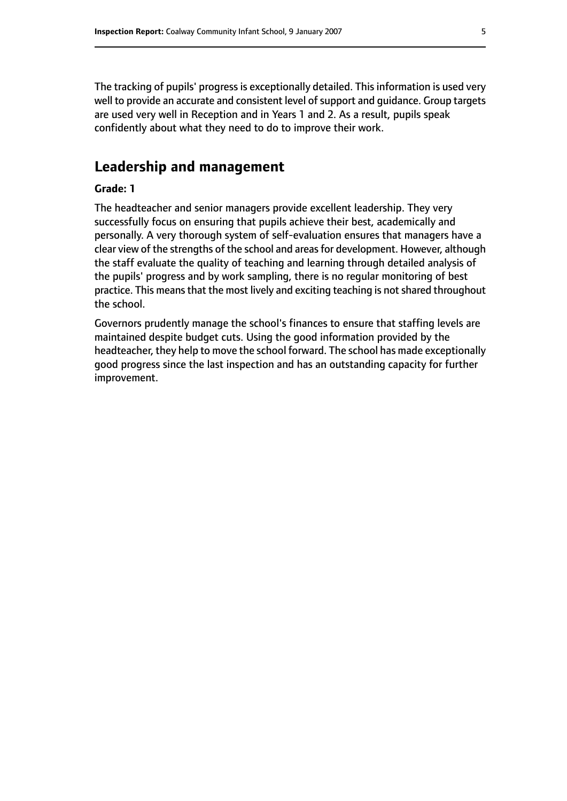The tracking of pupils' progress is exceptionally detailed. This information is used very well to provide an accurate and consistent level of support and quidance. Group targets are used very well in Reception and in Years 1 and 2. As a result, pupils speak confidently about what they need to do to improve their work.

# **Leadership and management**

#### **Grade: 1**

The headteacher and senior managers provide excellent leadership. They very successfully focus on ensuring that pupils achieve their best, academically and personally. A very thorough system of self-evaluation ensures that managers have a clear view of the strengths of the school and areas for development. However, although the staff evaluate the quality of teaching and learning through detailed analysis of the pupils' progress and by work sampling, there is no regular monitoring of best practice. This means that the most lively and exciting teaching is not shared throughout the school.

Governors prudently manage the school's finances to ensure that staffing levels are maintained despite budget cuts. Using the good information provided by the headteacher, they help to move the school forward. The school has made exceptionally good progress since the last inspection and has an outstanding capacity for further improvement.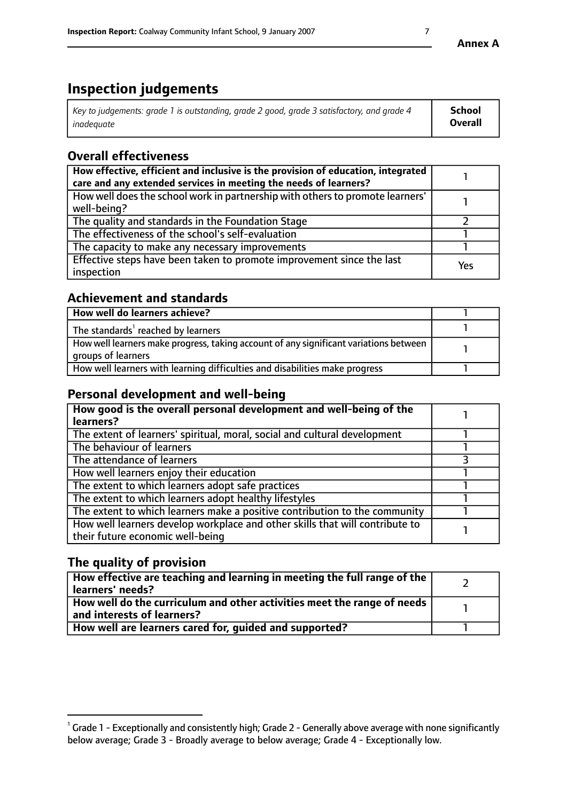# **Inspection judgements**

| Key to judgements: grade 1 is outstanding, grade 2 good, grade 3 satisfactory, and grade 4 | <b>School</b>  |
|--------------------------------------------------------------------------------------------|----------------|
| inadeauate                                                                                 | <b>Overall</b> |

# **Overall effectiveness**

| How effective, efficient and inclusive is the provision of education, integrated<br>care and any extended services in meeting the needs of learners? |     |
|------------------------------------------------------------------------------------------------------------------------------------------------------|-----|
| How well does the school work in partnership with others to promote learners'<br>well-being?                                                         |     |
| The quality and standards in the Foundation Stage                                                                                                    |     |
| The effectiveness of the school's self-evaluation                                                                                                    |     |
| The capacity to make any necessary improvements                                                                                                      |     |
| Effective steps have been taken to promote improvement since the last<br>inspection                                                                  | Yes |

# **Achievement and standards**

| How well do learners achieve?                                                                               |  |
|-------------------------------------------------------------------------------------------------------------|--|
| The standards <sup>1</sup> reached by learners                                                              |  |
| How well learners make progress, taking account of any significant variations between<br>groups of learners |  |
| How well learners with learning difficulties and disabilities make progress                                 |  |

## **Personal development and well-being**

| How good is the overall personal development and well-being of the<br>learners?                                  |  |
|------------------------------------------------------------------------------------------------------------------|--|
| The extent of learners' spiritual, moral, social and cultural development                                        |  |
| The behaviour of learners                                                                                        |  |
| The attendance of learners                                                                                       |  |
| How well learners enjoy their education                                                                          |  |
| The extent to which learners adopt safe practices                                                                |  |
| The extent to which learners adopt healthy lifestyles                                                            |  |
| The extent to which learners make a positive contribution to the community                                       |  |
| How well learners develop workplace and other skills that will contribute to<br>their future economic well-being |  |

# **The quality of provision**

| How effective are teaching and learning in meeting the full range of the<br>  learners' needs?                      |  |
|---------------------------------------------------------------------------------------------------------------------|--|
| $\mid$ How well do the curriculum and other activities meet the range of needs<br>$\mid$ and interests of learners? |  |
| How well are learners cared for, guided and supported?                                                              |  |

 $^1$  Grade 1 - Exceptionally and consistently high; Grade 2 - Generally above average with none significantly below average; Grade 3 - Broadly average to below average; Grade 4 - Exceptionally low.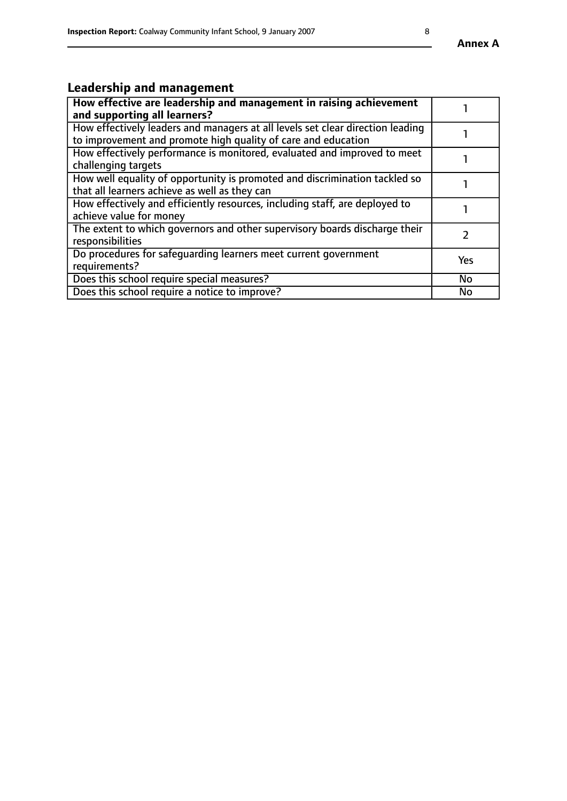# **Leadership and management**

| How effective are leadership and management in raising achievement<br>and supporting all learners?                                              |           |
|-------------------------------------------------------------------------------------------------------------------------------------------------|-----------|
| How effectively leaders and managers at all levels set clear direction leading<br>to improvement and promote high quality of care and education |           |
| How effectively performance is monitored, evaluated and improved to meet<br>challenging targets                                                 |           |
| How well equality of opportunity is promoted and discrimination tackled so<br>that all learners achieve as well as they can                     |           |
| How effectively and efficiently resources, including staff, are deployed to<br>achieve value for money                                          |           |
| The extent to which governors and other supervisory boards discharge their<br>responsibilities                                                  |           |
| Do procedures for safequarding learners meet current government<br>requirements?                                                                | Yes       |
| Does this school require special measures?                                                                                                      | No        |
| Does this school require a notice to improve?                                                                                                   | <b>No</b> |